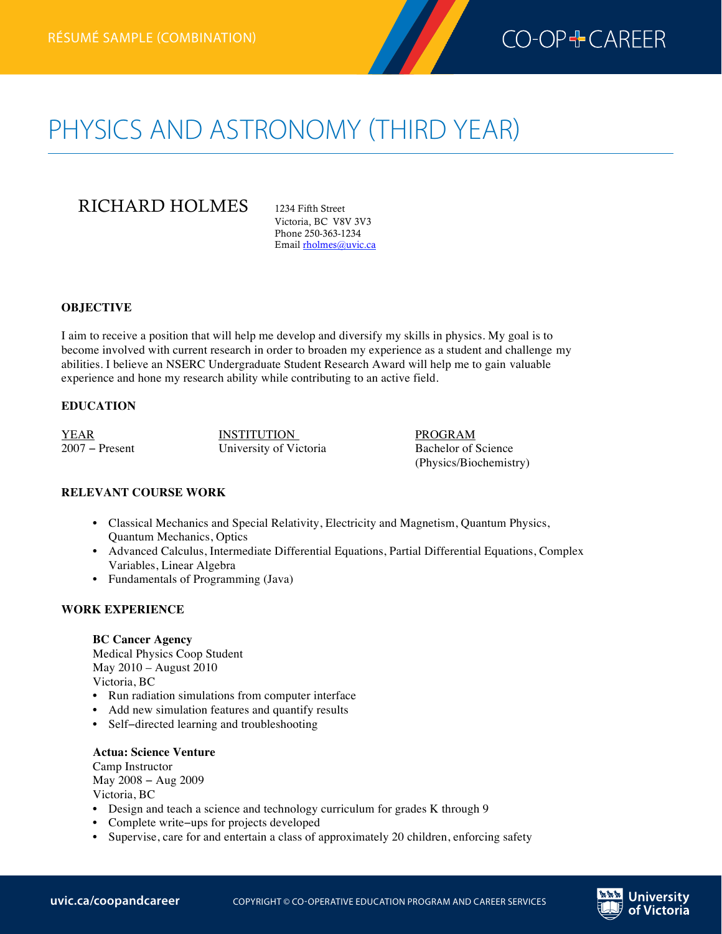

# PHYSICS AND ASTRONOMY (THIRD YEAR)

# RICHARD HOLMES 1234 Fifth Street

Victoria, BC V8V 3V3 Phone 250-363-1234 Email rholmes@uvic.ca

### **OBJECTIVE**

I aim to receive a position that will help me develop and diversify my skills in physics. My goal is to become involved with current research in order to broaden my experience as a student and challenge my abilities. I believe an NSERC Undergraduate Student Research Award will help me to gain valuable experience and hone my research ability while contributing to an active field.

# **EDUCATION**

YEAR INSTITUTION PROGRAM 2007 − Present University of Victoria Bachelor of Science

(Physics/Biochemistry)

# **RELEVANT COURSE WORK**

- Classical Mechanics and Special Relativity, Electricity and Magnetism, Quantum Physics, Quantum Mechanics, Optics
- Advanced Calculus, Intermediate Differential Equations, Partial Differential Equations, Complex Variables, Linear Algebra
- Fundamentals of Programming (Java)

### **WORK EXPERIENCE**

**BC Cancer Agency** Medical Physics Coop Student May 2010 – August 2010 Victoria, BC

- Run radiation simulations from computer interface
- Add new simulation features and quantify results
- Self−directed learning and troubleshooting

### **Actua: Science Venture**

Camp Instructor May 2008 − Aug 2009 Victoria, BC

- Design and teach a science and technology curriculum for grades K through 9
- Complete write−ups for projects developed
- Supervise, care for and entertain a class of approximately 20 children, enforcing safety

Jniversitv of Victoria